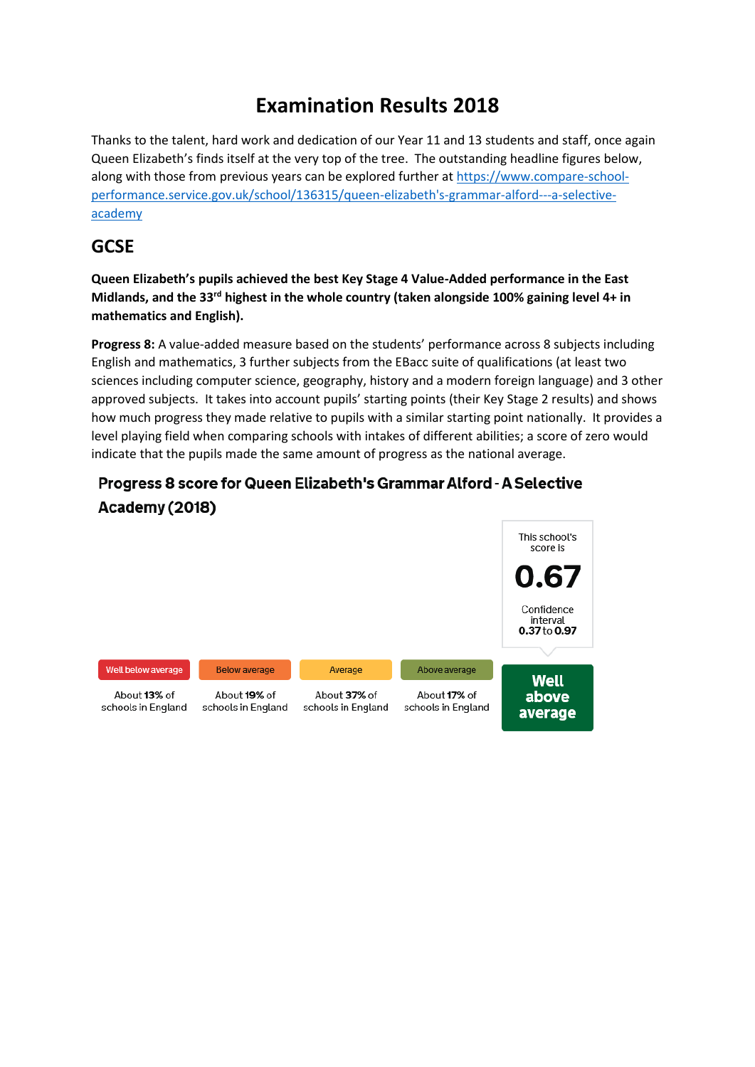# **Examination Results 2018**

Thanks to the talent, hard work and dedication of our Year 11 and 13 students and staff, once again Queen Elizabeth's finds itself at the very top of the tree. The outstanding headline figures below, along with those from previous years can be explored further at [https://www.compare-school](https://www.compare-school-performance.service.gov.uk/school/136315/queen-elizabeth)[performance.service.gov.uk/school/136315/queen-elizabeth's-grammar-alford---a-selective](https://www.compare-school-performance.service.gov.uk/school/136315/queen-elizabeth)[academy](https://www.compare-school-performance.service.gov.uk/school/136315/queen-elizabeth)

### **GCSE**

**Queen Elizabeth's pupils achieved the best Key Stage 4 Value-Added performance in the East Midlands, and the 33rd highest in the whole country (taken alongside 100% gaining level 4+ in mathematics and English).** 

**Progress 8:** A value-added measure based on the students' performance across 8 subjects including English and mathematics, 3 further subjects from the EBacc suite of qualifications (at least two sciences including computer science, geography, history and a modern foreign language) and 3 other approved subjects. It takes into account pupils' starting points (their Key Stage 2 results) and shows how much progress they made relative to pupils with a similar starting point nationally. It provides a level playing field when comparing schools with intakes of different abilities; a score of zero would indicate that the pupils made the same amount of progress as the national average.



#### Progress 8 score for Queen Elizabeth's Grammar Alford - A Selective Academy (2018)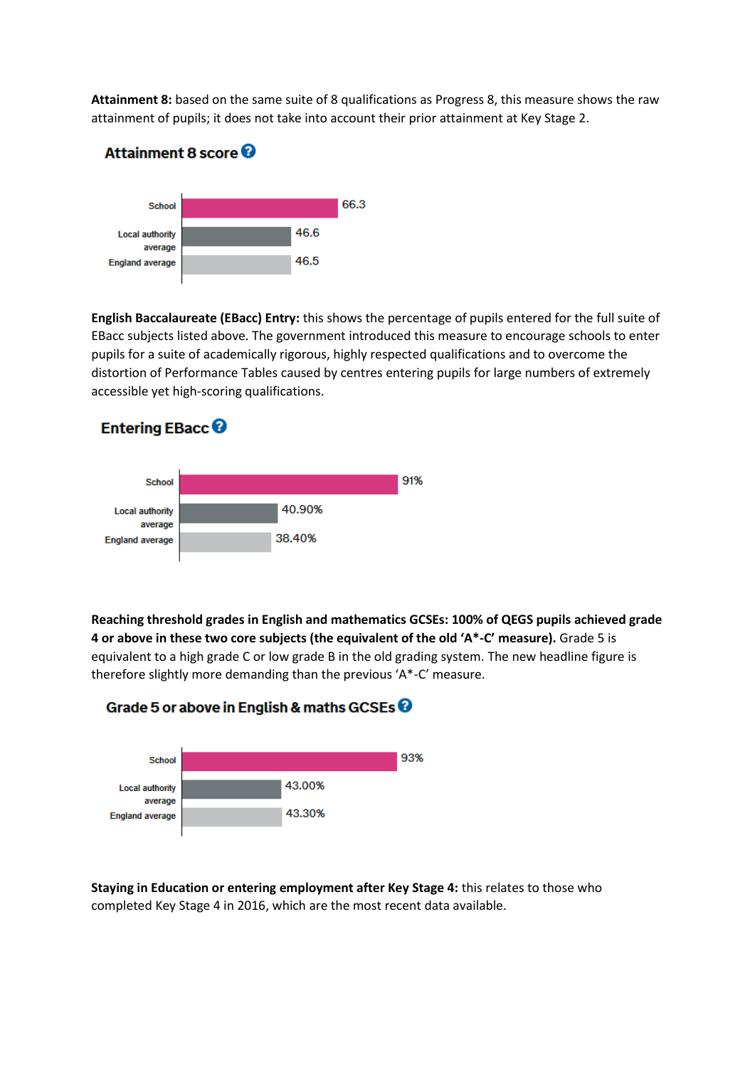**Attainment 8:** based on the same suite of 8 qualifications as Progress 8, this measure shows the raw attainment of pupils; it does not take into account their prior attainment at Key Stage 2.



**English Baccalaureate (EBacc) Entry:** this shows the percentage of pupils entered for the full suite of EBacc subjects listed above. The government introduced this measure to encourage schools to enter pupils for a suite of academically rigorous, highly respected qualifications and to overcome the distortion of Performance Tables caused by centres entering pupils for large numbers of extremely accessible yet high-scoring qualifications.





**Reaching threshold grades in English and mathematics GCSEs: 100% of QEGS pupils achieved grade 4 or above in these two core subjects (the equivalent of the old 'A\*-C' measure).** Grade 5 is equivalent to a high grade C or low grade B in the old grading system. The new headline figure is therefore slightly more demanding than the previous 'A\*-C' measure.





**Staying in Education or entering employment after Key Stage 4:** this relates to those who completed Key Stage 4 in 2016, which are the most recent data available.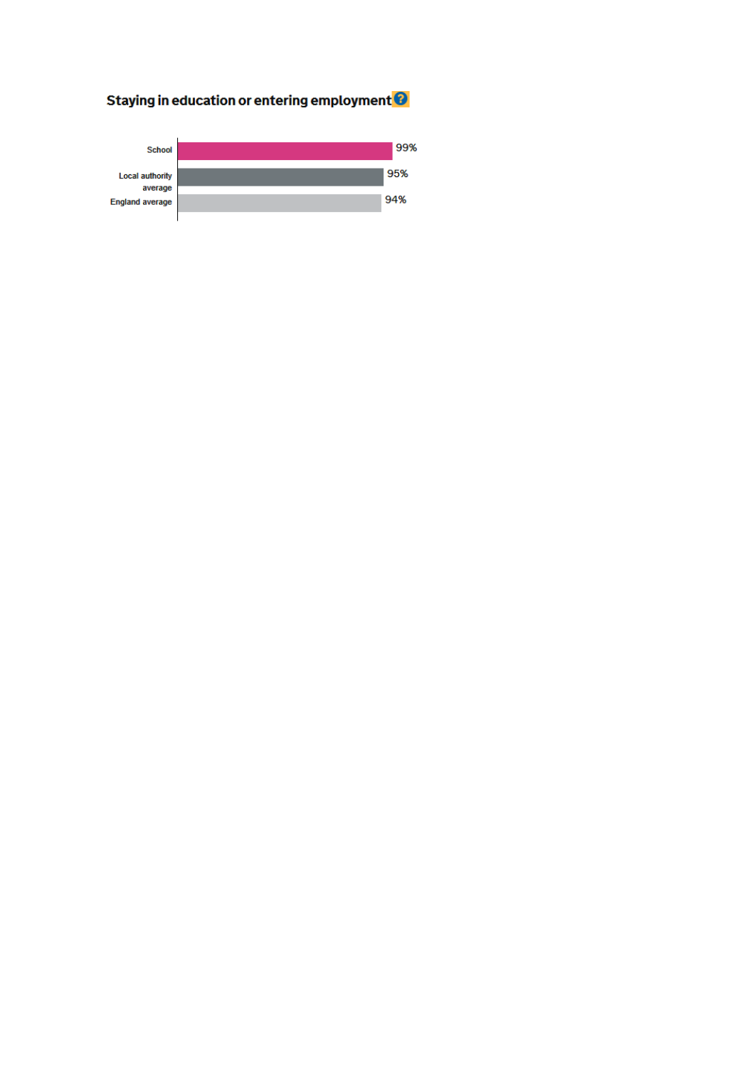# Staying in education or entering employment<sup>9</sup>